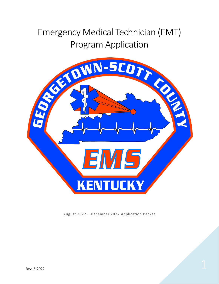# Emergency Medical Technician (EMT) Program Application



August 2022 – December 2022 Application Packet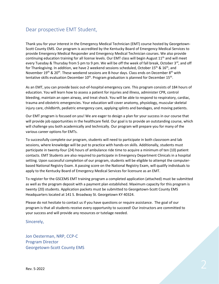## Dear prospective EMT Student,

Thank you for your interest in the Emergency Medical Technician (EMT) course hosted by Georgetown-Scott County EMS. Our program is accredited by the Kentucky Board of Emergency Medical Services to provide Emergency Medical Responder and Emergency Medical Technician courses. We also provide continuing education training for all license levels. Our EMT class will begin August  $11<sup>th</sup>$  and will meet every Tuesday & Thursday from 5 pm to 9 pm. We will be off the week of fall break, October 3rd, and off for Thanksgiving. In addition, we have 2 weekend sessions scheduled, October 15<sup>th</sup> & 16<sup>th</sup>, and November 19<sup>th</sup> & 20<sup>th</sup>. These weekend sessions are 8-hour days. Class ends on December 8<sup>th</sup> with tentative skills evaluation December  $10^{th}$ . Program graduation is planned for December  $15^{th}$ .

As an EMT, you can provide basic out-of-hospital emergency care. This program consists of 184 hours of education. You will learn how to assess a patient for injuries and illness, administer CPR, control bleeding, maintain an open airway, and treat shock. You will be able to respond to respiratory, cardiac, trauma and obstetric emergencies. Your education will cover anatomy, physiology, muscular skeletal injury care, childbirth, pediatric emergency care, applying splints and bandages, and moving patients.

Our EMT program is focused on you! We are eager to design a plan for your success in our course that will provide job opportunities in the healthcare field. Our goal is to provide an outstanding course, which will challenge you both academically and technically. Our program will prepare you for many of the various career options for EMTs.

To successfully complete our program, students will need to participate in both classroom and lab sessions, where knowledge will be put to practice with hands-on skills. Additionally, students must participate in twenty-four (24) hours of ambulance ride time to acquire a minimum of ten (10) patient contacts. EMT Students are also required to participate in Emergency Department Clinicals in a hospital setting. Upon successful completion of our program, students will be eligible to attempt the computerbased National Registry Exam. A passing score on the National Registry Exam, will qualify individuals to apply to the Kentucky Board of Emergency Medical Services for licensure as an EMT.

To register for the GSCEMS EMT training program a completed application (attached) must be submitted as well as the program deposit with a payment plan established. Maximum capacity for this program is twenty (20) students. Application packets must be submitted to Georgetown-Scott County EMS Headquarters located at 141 S. Broadway St. Georgetown KY 40324.

Please do not hesitate to contact us if you have questions or require assistance. The goal of our program is that all students receive every opportunity to succeed! Our instructors are committed to your success and will provide any resources or tutelage needed.

Sincerely,

Jon Oesterman, NRP, CCP-C Program Director Georgetown-Scott County EMS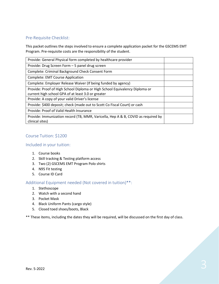#### Pre-Requisite Checklist:

This packet outlines the steps involved to ensure a complete application packet for the GSCEMS EMT Program. Pre-requisite costs are the responsibility of the student.

| Provide: General Physical form completed by healthcare provider                                                                   |  |
|-----------------------------------------------------------------------------------------------------------------------------------|--|
| Provide: Drug Screen Form - 5 panel drug screen                                                                                   |  |
| Complete: Criminal Background Check Consent Form                                                                                  |  |
| <b>Complete: EMT Course Application</b>                                                                                           |  |
| Complete: Employer Release Waiver (If being funded by agency)                                                                     |  |
| Provide: Proof of High School Diploma or High School Equivalency Diploma or<br>current high school GPA of at least 3.0 or greater |  |
| Provide: A copy of your valid Driver's license                                                                                    |  |
| Provide: \$400 deposit; check (made out to Scott Co Fiscal Court) or cash                                                         |  |
| Provide: Proof of Valid Health Insurance                                                                                          |  |
| Provide: Immunization record (TB, MMR, Varicella, Hep A & B, COVID as required by<br>clinical sites)                              |  |

#### Course Tuition: \$1200

#### Included in your tuition:

- 1. Course books
- 2. Skill tracking & Testing platform access
- 3. Two (2) GSCEMS EMT Program Polo shirts
- 4. N95 Fit testing
- 5. Course ID Card

### Additional Equipment needed (Not covered in tuition)\*\*:

- 1. Stethoscope
- 2. Watch with a second hand
- 3. Pocket Mask
- 4. Black Uniform Pants (cargo style)
- 5. Closed toed shoes/boots, Black

\*\* These items, including the dates they will be required, will be discussed on the first day of class.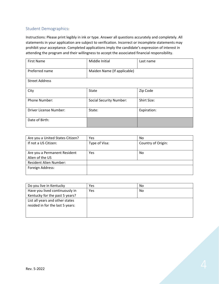## Student Demographics:

Instructions: Please print legibly in ink or type. Answer all questions accurately and completely. All statements in your application are subject to verification. Incorrect or incomplete statements may prohibit your acceptance. Completed applications imply the candidate's expression of interest in attending the program and their willingness to accept the associated financial responsibility.

| <b>First Name</b>             | Middle Initial                 | Last name   |  |
|-------------------------------|--------------------------------|-------------|--|
| Preferred name                | Maiden Name (If applicable)    |             |  |
| <b>Street Address</b>         |                                |             |  |
| City                          | <b>State</b>                   | Zip Code    |  |
| <b>Phone Number:</b>          | <b>Social Security Number:</b> | Shirt Size: |  |
| <b>Driver License Number:</b> | State:                         | Expiration: |  |
| Date of Birth:                |                                |             |  |

| Are you a United States Citizen? | Yes           | No.                |
|----------------------------------|---------------|--------------------|
| If not a US Citizen:             | Type of Visa: | Country of Origin: |
|                                  |               |                    |
| Are you a Permanent Resident     | Yes           | No.                |
| Alien of the US                  |               |                    |
| <b>Resident Alien Number:</b>    |               |                    |
| Foreign Address:                 |               |                    |
|                                  |               |                    |

| Do you live in Kentucky          | Yes | No. |
|----------------------------------|-----|-----|
| Have you lived continuously in   | Yes | No. |
| Kentucky for the past 5 years?   |     |     |
| List all years and other states  |     |     |
| resided in for the last 5 years: |     |     |
|                                  |     |     |
|                                  |     |     |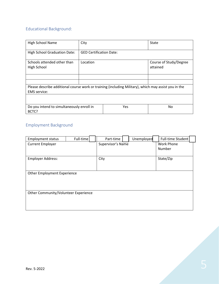# Educational Background:

| High School Name                                                                                     | City                           |     | State                              |  |  |
|------------------------------------------------------------------------------------------------------|--------------------------------|-----|------------------------------------|--|--|
| <b>High School Graduation Date:</b>                                                                  | <b>GED Certification Date:</b> |     |                                    |  |  |
| Schools attended other than<br>High School                                                           | Location                       |     | Course of Study/Degree<br>attained |  |  |
|                                                                                                      |                                |     |                                    |  |  |
|                                                                                                      |                                |     |                                    |  |  |
| Please describe additional course work or training (including Military), which may assist you in the |                                |     |                                    |  |  |
| <b>EMS</b> service:                                                                                  |                                |     |                                    |  |  |
|                                                                                                      |                                |     |                                    |  |  |
| Do you intend to simultaneously enroll in<br>BCTC?                                                   |                                | Yes | No.                                |  |  |

# Employment Background

| <b>Employment status</b>             | Full-time | Part-time         | Unemployed | Full-time Student |  |
|--------------------------------------|-----------|-------------------|------------|-------------------|--|
| <b>Current Employer</b>              |           | Supervisor's Name |            | Work Phone        |  |
|                                      |           |                   |            | Number            |  |
| <b>Employer Address:</b>             |           | City              |            | State/Zip         |  |
|                                      |           |                   |            |                   |  |
|                                      |           |                   |            |                   |  |
| Other Employment Experience          |           |                   |            |                   |  |
|                                      |           |                   |            |                   |  |
|                                      |           |                   |            |                   |  |
| Other Community/Volunteer Experience |           |                   |            |                   |  |
|                                      |           |                   |            |                   |  |
|                                      |           |                   |            |                   |  |
|                                      |           |                   |            |                   |  |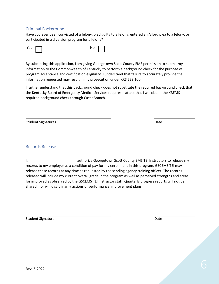#### Criminal Background:

Have you ever been convicted of a felony, pled guilty to a felony, entered an Alford plea to a felony, or participated in a diversion program for a felony?



By submitting this application, I am giving Georgetown Scott County EMS permission to submit my information to the Commonwealth of Kentucky to perform a background check for the purpose of program acceptance and certification eligibility. I understand that failure to accurately provide the information requested may result in my prosecution under KRS 523.100.

I further understand that this background check does not substitute the required background check that the Kentucky Board of Emergency Medical Services requires. I attest that I will obtain the KBEMS required background check through CastleBranch.

Student Signatures **Date** 

Records Release

I, authorize Georgetown Scott County EMS TEI Instructors to release my records to my employer as a condition of pay for my enrollment in this program. GSCEMS TEI may release these records at any time as requested by the sending agency training officer. The records released will include my current overall grade in the program as well as perceived strengths and areas for improved as observed by the GSCEMS TEI Instructor staff. Quarterly progress reports will not be shared, nor will disciplinarily actions or performance improvement plans.

Student Signature Date Date of the United Students and Date Date Date Date of the United Students and Date Date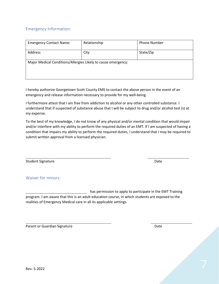### Emergency Information:

| <b>Emergency Contact Name:</b>                                | Relationship | <b>Phone Number</b> |
|---------------------------------------------------------------|--------------|---------------------|
| Address                                                       | City         | State/Zip           |
| Major Medical Conditions/Allergies Likely to cause emergency: |              |                     |

I hereby authorize Georgetown Scott County EMS to contact the above person in the event of an emergency and release information necessary to provide for my well-being.

I furthermore attest that I am free from addiction to alcohol or any other controlled substance. I understand that if suspected of substance abuse that I will be subject to drug and/or alcohol test (s) at my expense.

To the best of my knowledge, I do not know of any physical and/or mental condition that would impair and/or interfere with my ability to perform the required duties of an EMT. If I am suspected of having a condition that impairs my ability to perform the required duties, I understand that I may be required to submit written approval from a licensed physician.

Student Signature Date Date of the United Students and Date Date Date Date Date

Waiver for minors:

has permission to apply to participate in the EMT Training program. I am aware that this is an adult education course, in which students are exposed to the realities of Emergency Medical care in all its applicable settings.

Parent or Guardian Signature **Date of American Signature** Date of American School and Date of American Date of A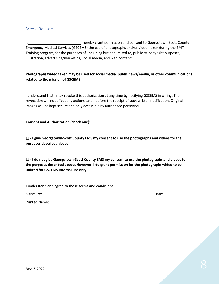#### Media Release

I, hereby grant permission and consent to Georgetown-Scott County Emergency Medical Services (GSCEMS) the use of photographs and/or video, taken during the EMT Training program, for the purposes of, including but not limited to, publicity, copyright purposes, illustration, advertising/marketing, social media, and web content:

#### **Photographs/video taken may be used for social media, public news/media, or other communications related to the mission of GSCEMS.**

I understand that I may revoke this authorization at any time by notifying GSCEMS in wiring. The revocation will not affect any actions taken before the receipt of such written notification. Original images will be kept secure and only accessible by authorized personnel.

**Consent and Authorization (check one):**

□ - I give Georgetown-Scott County EMS my consent to use the photographs and videos for the **purposes described above.**

 **- I do not give Georgetown-Scott County EMS my consent to use the photographs and videos for the purposes described above. However, I do grant permission for the photographs/video to be utilized for GSCEMS internal use only.**

**I understand and agree to these terms and conditions.**

Signature: Date:

Printed Name: